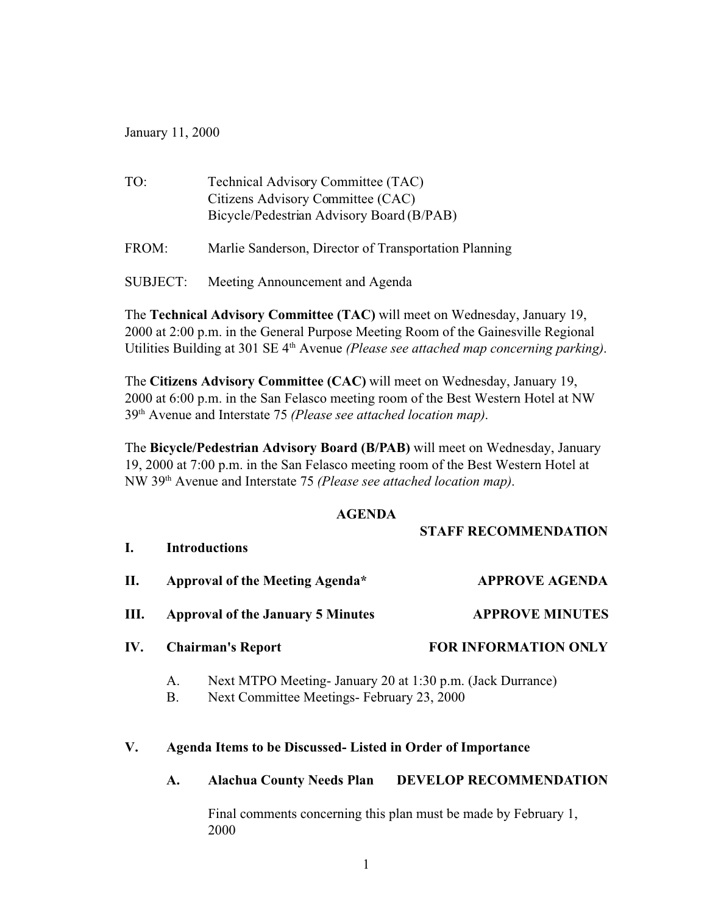January 11, 2000

| TO:      | Technical Advisory Committee (TAC)<br>Citizens Advisory Committee (CAC)<br>Bicycle/Pedestrian Advisory Board (B/PAB) |
|----------|----------------------------------------------------------------------------------------------------------------------|
| FROM:    | Marlie Sanderson, Director of Transportation Planning                                                                |
| SUBJECT: | Meeting Announcement and Agenda                                                                                      |

The **Technical Advisory Committee (TAC)** will meet on Wednesday, January 19, 2000 at 2:00 p.m. in the General Purpose Meeting Room of the Gainesville Regional Utilities Building at 301 SE 4th Avenue *(Please see attached map concerning parking)*.

The **Citizens Advisory Committee (CAC)** will meet on Wednesday, January 19, 2000 at 6:00 p.m. in the San Felasco meeting room of the Best Western Hotel at NW 39th Avenue and Interstate 75 *(Please see attached location map)*.

The **Bicycle/Pedestrian Advisory Board (B/PAB)** will meet on Wednesday, January 19, 2000 at 7:00 p.m. in the San Felasco meeting room of the Best Western Hotel at NW 39th Avenue and Interstate 75 *(Please see attached location map)*.

## **AGENDA**

**STAFF RECOMMENDATION**

| L.  |                                          | <b>Introductions</b>                                                                                    | эти гиссомиценитов          |
|-----|------------------------------------------|---------------------------------------------------------------------------------------------------------|-----------------------------|
| П.  | Approval of the Meeting Agenda*          |                                                                                                         | <b>APPROVE AGENDA</b>       |
| Ш.  | <b>Approval of the January 5 Minutes</b> |                                                                                                         | <b>APPROVE MINUTES</b>      |
| IV. |                                          | <b>Chairman's Report</b>                                                                                | <b>FOR INFORMATION ONLY</b> |
|     | A.<br>Β.                                 | Next MTPO Meeting- January 20 at 1:30 p.m. (Jack Durrance)<br>Next Committee Meetings-February 23, 2000 |                             |

## **V. Agenda Items to be Discussed- Listed in Order of Importance**

## **A. Alachua County Needs Plan DEVELOP RECOMMENDATION**

Final comments concerning this plan must be made by February 1, 2000